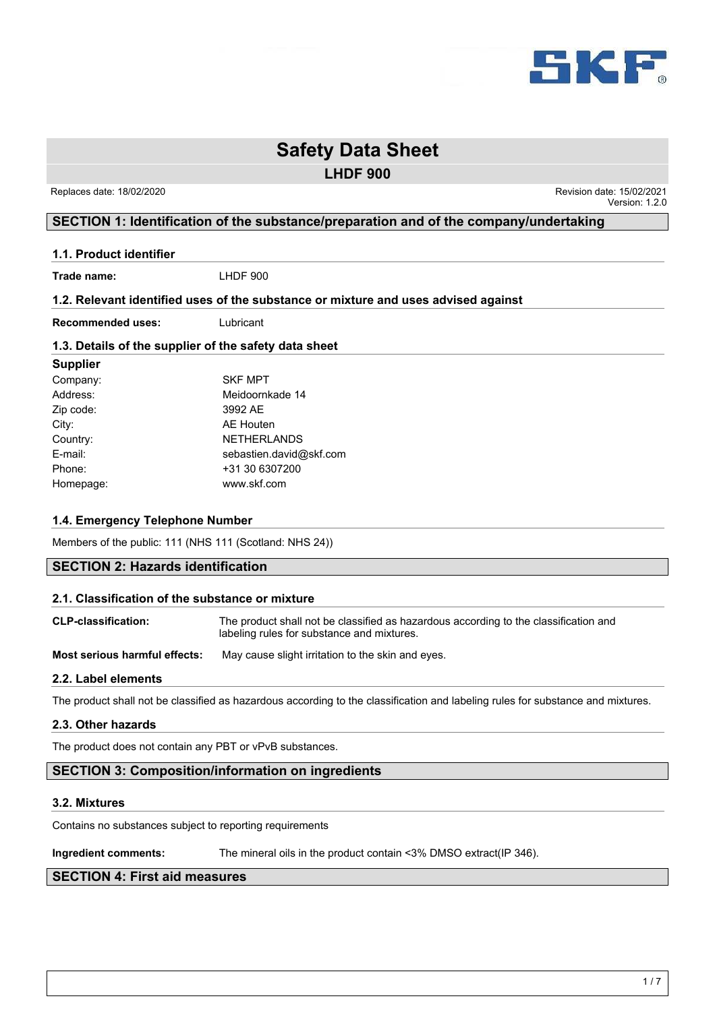

**LHDF 900**

 Replaces date: 18/02/2020 Revision date: 15/02/2021 Version: 1.2.0

# **SECTION 1: Identification of the substance/preparation and of the company/undertaking**

#### **1.1. Product identifier**

**Trade name:** LHDF 900

#### **1.2. Relevant identified uses of the substance or mixture and uses advised against**

**Recommended uses:** Lubricant

# **1.3. Details of the supplier of the safety data sheet**

# **Supplier**

| Company:  | <b>SKF MPT</b>          |  |
|-----------|-------------------------|--|
| Address:  | Meidoornkade 14         |  |
| Zip code: | 3992 AE                 |  |
| City:     | <b>AE Houten</b>        |  |
| Country:  | <b>NETHERLANDS</b>      |  |
| E-mail:   | sebastien.david@skf.com |  |
| Phone:    | +31 30 6307200          |  |
| Homepage: | www.skf.com             |  |

# **1.4. Emergency Telephone Number**

Members of the public: 111 (NHS 111 (Scotland: NHS 24))

# **SECTION 2: Hazards identification**

#### **2.1. Classification of the substance or mixture**

| <b>CLP-classification:</b> | The product shall not be classified as hazardous according to the classification and |
|----------------------------|--------------------------------------------------------------------------------------|
|                            | labeling rules for substance and mixtures.                                           |

**Most serious harmful effects:** May cause slight irritation to the skin and eyes.

# **2.2. Label elements**

The product shall not be classified as hazardous according to the classification and labeling rules for substance and mixtures.

# **2.3. Other hazards**

The product does not contain any PBT or vPvB substances.

# **SECTION 3: Composition/information on ingredients**

# **3.2. Mixtures**

Contains no substances subject to reporting requirements

**Ingredient comments:** The mineral oils in the product contain <3% DMSO extract(IP 346).

# **SECTION 4: First aid measures**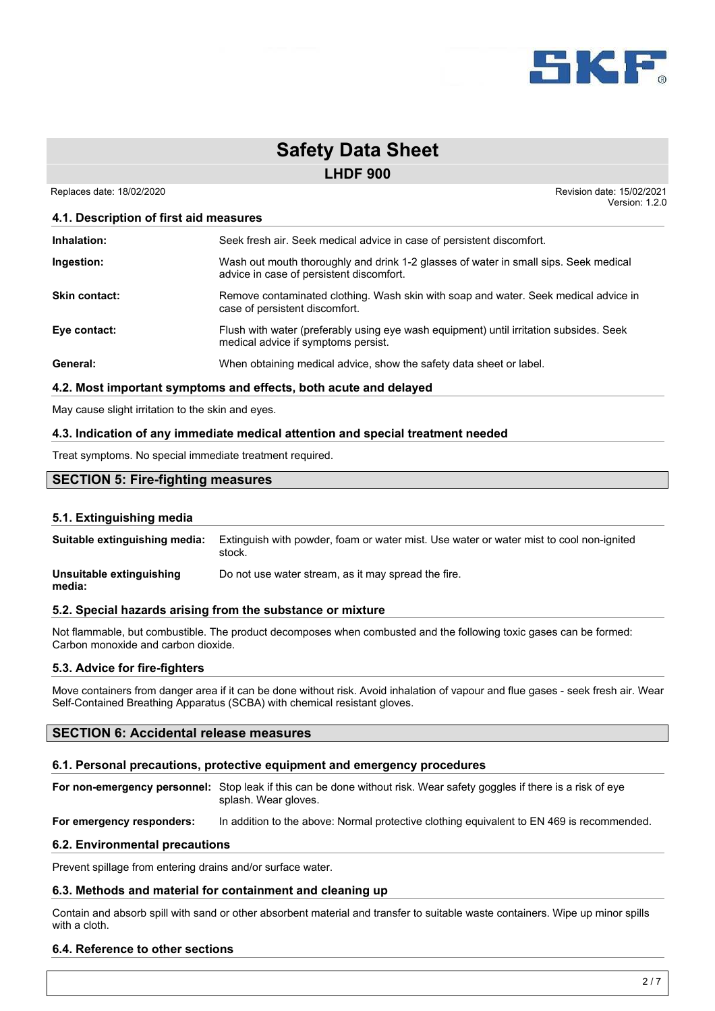

**LHDF 900**

 Replaces date: 18/02/2020 Revision date: 15/02/2021 Version: 1.2.0

# **4.1. Description of first aid measures**

| Inhalation:          | Seek fresh air. Seek medical advice in case of persistent discomfort.                                                            |
|----------------------|----------------------------------------------------------------------------------------------------------------------------------|
| Ingestion:           | Wash out mouth thoroughly and drink 1-2 glasses of water in small sips. Seek medical<br>advice in case of persistent discomfort. |
| <b>Skin contact:</b> | Remove contaminated clothing. Wash skin with soap and water. Seek medical advice in<br>case of persistent discomfort.            |
| Eye contact:         | Flush with water (preferably using eye wash equipment) until irritation subsides. Seek<br>medical advice if symptoms persist.    |
| General:             | When obtaining medical advice, show the safety data sheet or label.                                                              |

# **4.2. Most important symptoms and effects, both acute and delayed**

May cause slight irritation to the skin and eyes.

# **4.3. Indication of any immediate medical attention and special treatment needed**

Treat symptoms. No special immediate treatment required.

# **SECTION 5: Fire-fighting measures**

# **5.1. Extinguishing media**

**Suitable extinguishing media:** Extinguish with powder, foam or water mist. Use water or water mist to cool non-ignited stock.

**Unsuitable extinguishing** Do not use water stream, as it may spread the fire.

# **media:**

# **5.2. Special hazards arising from the substance or mixture**

Not flammable, but combustible. The product decomposes when combusted and the following toxic gases can be formed: Carbon monoxide and carbon dioxide.

# **5.3. Advice for fire-fighters**

Move containers from danger area if it can be done without risk. Avoid inhalation of vapour and flue gases - seek fresh air. Wear Self-Contained Breathing Apparatus (SCBA) with chemical resistant gloves.

# **SECTION 6: Accidental release measures**

# **6.1. Personal precautions, protective equipment and emergency procedures**

**For non-emergency personnel:** Stop leak if this can be done without risk. Wear safety goggles if there is a risk of eye splash. Wear gloves.

**For emergency responders:** In addition to the above: Normal protective clothing equivalent to EN 469 is recommended.

#### **6.2. Environmental precautions**

Prevent spillage from entering drains and/or surface water.

#### **6.3. Methods and material for containment and cleaning up**

Contain and absorb spill with sand or other absorbent material and transfer to suitable waste containers. Wipe up minor spills with a cloth.

# **6.4. Reference to other sections**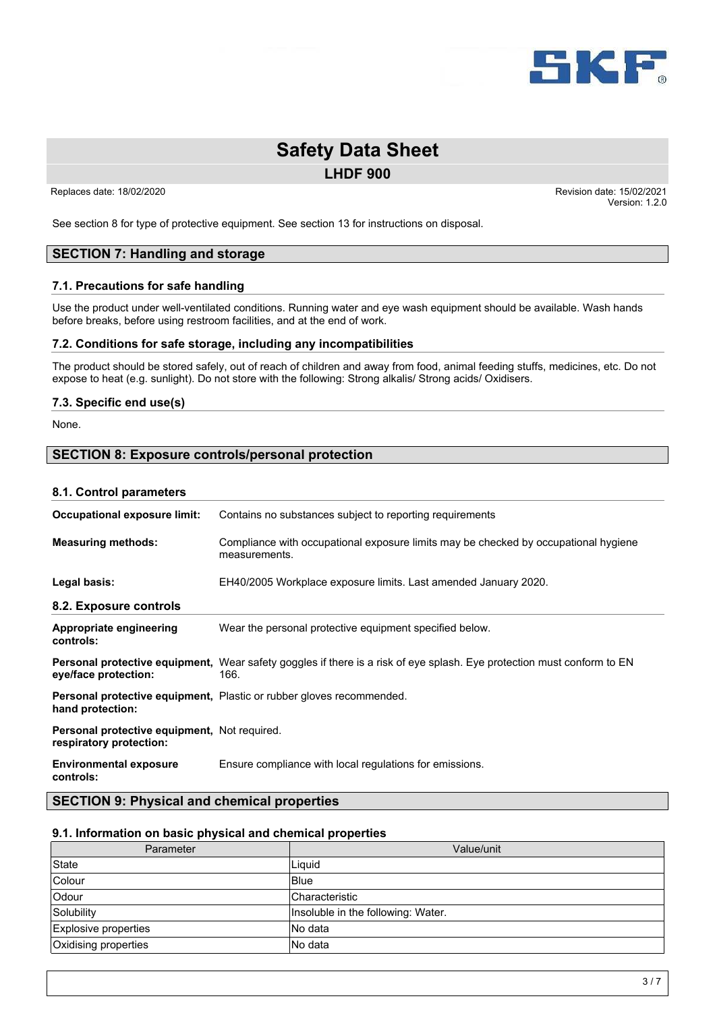

**LHDF 900**

 Replaces date: 18/02/2020 Revision date: 15/02/2021 Version: 1.2.0

See section 8 for type of protective equipment. See section 13 for instructions on disposal.

# **SECTION 7: Handling and storage**

### **7.1. Precautions for safe handling**

Use the product under well-ventilated conditions. Running water and eye wash equipment should be available. Wash hands before breaks, before using restroom facilities, and at the end of work.

### **7.2. Conditions for safe storage, including any incompatibilities**

The product should be stored safely, out of reach of children and away from food, animal feeding stuffs, medicines, etc. Do not expose to heat (e.g. sunlight). Do not store with the following: Strong alkalis/ Strong acids/ Oxidisers.

### **7.3. Specific end use(s)**

None.

# **SECTION 8: Exposure controls/personal protection**

#### **8.1. Control parameters**

| Occupational exposure limit:                                            | Contains no substances subject to reporting requirements                                                                       |
|-------------------------------------------------------------------------|--------------------------------------------------------------------------------------------------------------------------------|
| <b>Measuring methods:</b>                                               | Compliance with occupational exposure limits may be checked by occupational hygiene<br>measurements.                           |
| Legal basis:                                                            | EH40/2005 Workplace exposure limits. Last amended January 2020.                                                                |
| 8.2. Exposure controls                                                  |                                                                                                                                |
| Appropriate engineering<br>controls:                                    | Wear the personal protective equipment specified below.                                                                        |
| eye/face protection:                                                    | Personal protective equipment, Wear safety goggles if there is a risk of eye splash. Eye protection must conform to EN<br>166. |
| hand protection:                                                        | <b>Personal protective equipment, Plastic or rubber gloves recommended.</b>                                                    |
| Personal protective equipment, Not required.<br>respiratory protection: |                                                                                                                                |
| <b>Environmental exposure</b><br>controls:                              | Ensure compliance with local regulations for emissions.                                                                        |

# **SECTION 9: Physical and chemical properties**

### **9.1. Information on basic physical and chemical properties**

| Parameter            | Value/unit                         |
|----------------------|------------------------------------|
| State                | Liguid                             |
| Colour               | Blue                               |
| Odour                | <b>Characteristic</b>              |
| Solubility           | Insoluble in the following: Water. |
| Explosive properties | INo data                           |
| Oxidising properties | No data                            |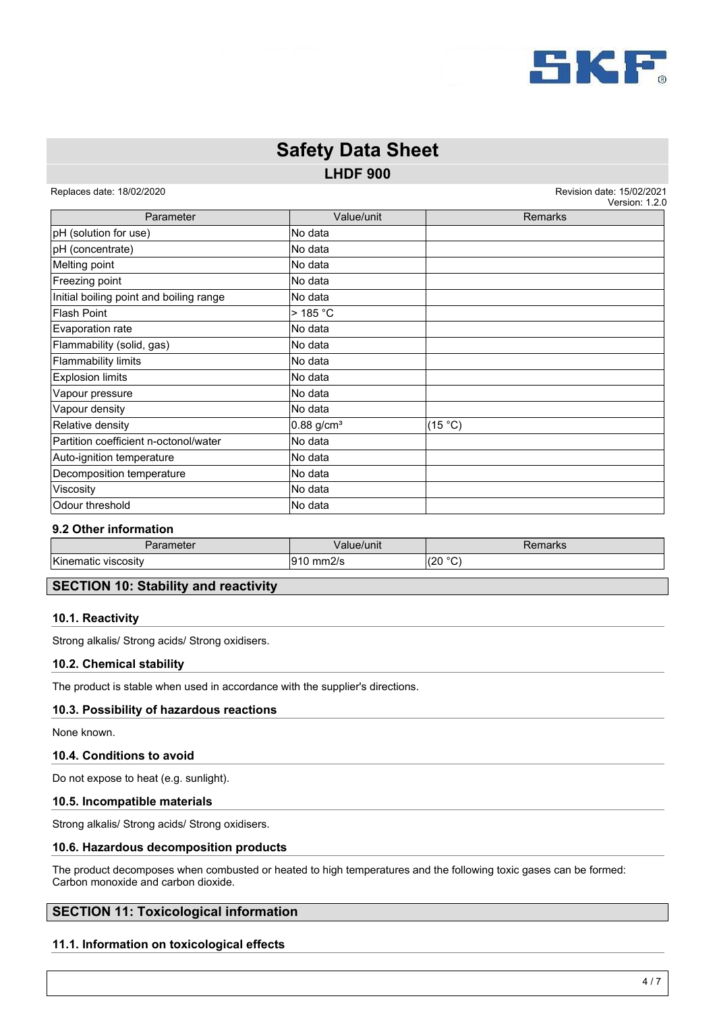

# **LHDF 900 Safety Data Sheet**

Replaces date: 18/02/2020 **Replaces** date: 15/02/2021

version: 4.2

| Parameter                               | Value/unit               | <b>Remarks</b> |
|-----------------------------------------|--------------------------|----------------|
| pH (solution for use)                   | No data                  |                |
| pH (concentrate)                        | No data                  |                |
| Melting point                           | No data                  |                |
| Freezing point                          | No data                  |                |
| Initial boiling point and boiling range | No data                  |                |
| <b>Flash Point</b>                      | $>$ 185 °C               |                |
| Evaporation rate                        | No data                  |                |
| Flammability (solid, gas)               | No data                  |                |
| Flammability limits                     | No data                  |                |
| <b>Explosion limits</b>                 | No data                  |                |
| Vapour pressure                         | No data                  |                |
| Vapour density                          | No data                  |                |
| Relative density                        | $0.88$ g/cm <sup>3</sup> | (15 °C)        |
| Partition coefficient n-octonol/water   | No data                  |                |
| Auto-ignition temperature               | No data                  |                |
| Decomposition temperature               | No data                  |                |
| Viscosity                               | No data                  |                |
| Odour threshold                         | No data                  |                |

# **9.2 Other information**

| 'arameter              | Value/unit                     | REILIAINS |
|------------------------|--------------------------------|-----------|
| Kinematic<br>VISCOSItV | $\sim$<br>י הו<br>mm2/s<br>. . | (20 °C)   |

# **SECTION 10: Stability and reactivity**

# **10.1. Reactivity**

Strong alkalis/ Strong acids/ Strong oxidisers.

# **10.2. Chemical stability**

The product is stable when used in accordance with the supplier's directions.

# **10.3. Possibility of hazardous reactions**

None known.

# **10.4. Conditions to avoid**

Do not expose to heat (e.g. sunlight).

#### **10.5. Incompatible materials**

Strong alkalis/ Strong acids/ Strong oxidisers.

# **10.6. Hazardous decomposition products**

The product decomposes when combusted or heated to high temperatures and the following toxic gases can be formed: Carbon monoxide and carbon dioxide.

# **SECTION 11: Toxicological information**

# **11.1. Information on toxicological effects**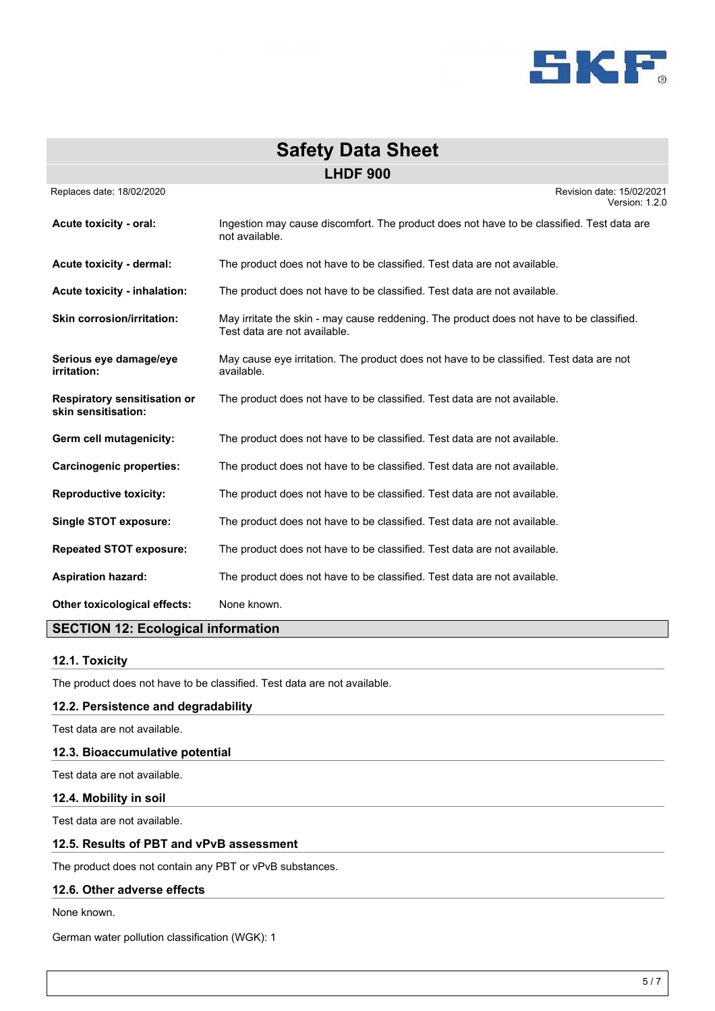

| <b>Safety Data Sheet</b>                                   |                                                                                                                          |  |
|------------------------------------------------------------|--------------------------------------------------------------------------------------------------------------------------|--|
| <b>LHDF 900</b>                                            |                                                                                                                          |  |
| Replaces date: 18/02/2020                                  | Revision date: 15/02/2021<br>Version: 1.2.0                                                                              |  |
| Acute toxicity - oral:                                     | Ingestion may cause discomfort. The product does not have to be classified. Test data are<br>not available.              |  |
| Acute toxicity - dermal:                                   | The product does not have to be classified. Test data are not available.                                                 |  |
| <b>Acute toxicity - inhalation:</b>                        | The product does not have to be classified. Test data are not available.                                                 |  |
| <b>Skin corrosion/irritation:</b>                          | May irritate the skin - may cause reddening. The product does not have to be classified.<br>Test data are not available. |  |
| Serious eye damage/eye<br>irritation:                      | May cause eye irritation. The product does not have to be classified. Test data are not<br>available.                    |  |
| <b>Respiratory sensitisation or</b><br>skin sensitisation: | The product does not have to be classified. Test data are not available.                                                 |  |
| Germ cell mutagenicity:                                    | The product does not have to be classified. Test data are not available.                                                 |  |
| <b>Carcinogenic properties:</b>                            | The product does not have to be classified. Test data are not available.                                                 |  |
| <b>Reproductive toxicity:</b>                              | The product does not have to be classified. Test data are not available.                                                 |  |
| Single STOT exposure:                                      | The product does not have to be classified. Test data are not available.                                                 |  |
| <b>Repeated STOT exposure:</b>                             | The product does not have to be classified. Test data are not available.                                                 |  |
| <b>Aspiration hazard:</b>                                  | The product does not have to be classified. Test data are not available.                                                 |  |
| Other toxicological effects:                               | None known.                                                                                                              |  |

# **SECTION 12: Ecological information**

# **12.1. Toxicity**

The product does not have to be classified. Test data are not available.

# **12.2. Persistence and degradability**

Test data are not available.

### **12.3. Bioaccumulative potential**

Test data are not available.

**12.4. Mobility in soil**

Test data are not available.

# **12.5. Results of PBT and vPvB assessment**

The product does not contain any PBT or vPvB substances.

# **12.6. Other adverse effects**

None known.

German water pollution classification (WGK): 1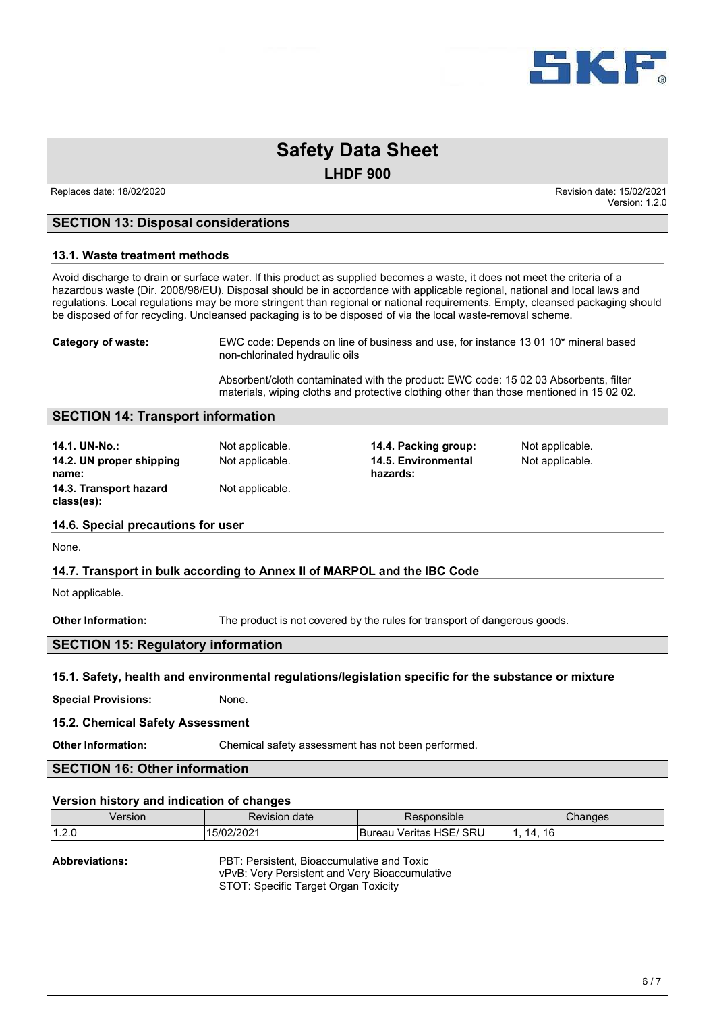

**LHDF 900**

 Replaces date: 18/02/2020 Revision date: 15/02/2021 Version: 1.2.0

# **SECTION 13: Disposal considerations**

#### **13.1. Waste treatment methods**

Avoid discharge to drain or surface water. If this product as supplied becomes a waste, it does not meet the criteria of a hazardous waste (Dir. 2008/98/EU). Disposal should be in accordance with applicable regional, national and local laws and regulations. Local regulations may be more stringent than regional or national requirements. Empty, cleansed packaging should be disposed of for recycling. Uncleansed packaging is to be disposed of via the local waste-removal scheme.

**Category of waste:** EWC code: Depends on line of business and use, for instance 13 01 10\* mineral based non-chlorinated hydraulic oils

> Absorbent/cloth contaminated with the product: EWC code: 15 02 03 Absorbents, filter materials, wiping cloths and protective clothing other than those mentioned in 15 02 02.

# **SECTION 14: Transport information**

**14.1. UN-No.:** Not applicable. **14.4. Packing group:** Not applicable. **14.2. UN proper shipping name: 14.3. Transport hazard class(es):** Not applicable.

Not applicable. **14.5. Environmental hazards:**

Not applicable.

#### **14.6. Special precautions for user**

None.

# **14.7. Transport in bulk according to Annex II of MARPOL and the IBC Code**

Not applicable.

**Other Information:** The product is not covered by the rules for transport of dangerous goods.

# **SECTION 15: Regulatory information**

#### **15.1. Safety, health and environmental regulations/legislation specific for the substance or mixture**

**Special Provisions:** None.

#### **15.2. Chemical Safety Assessment**

**Other Information:** Chemical safety assessment has not been performed.

# **SECTION 16: Other information**

#### **Version history and indication of changes**

| Version   | date<br>Revision | ponsible                                   | Changes            |
|-----------|------------------|--------------------------------------------|--------------------|
| 140c<br>. | 72 U Z           | ' SRL<br>$\sim$<br>Veritas<br>ireau<br>пэь | 16<br>14<br>$\sim$ |

| <b>Abbreviations:</b> | PBT: Persistent, Bioaccumulative and Toxic     |
|-----------------------|------------------------------------------------|
|                       | vPvB: Very Persistent and Very Bioaccumulative |
|                       | STOT: Specific Target Organ Toxicity           |